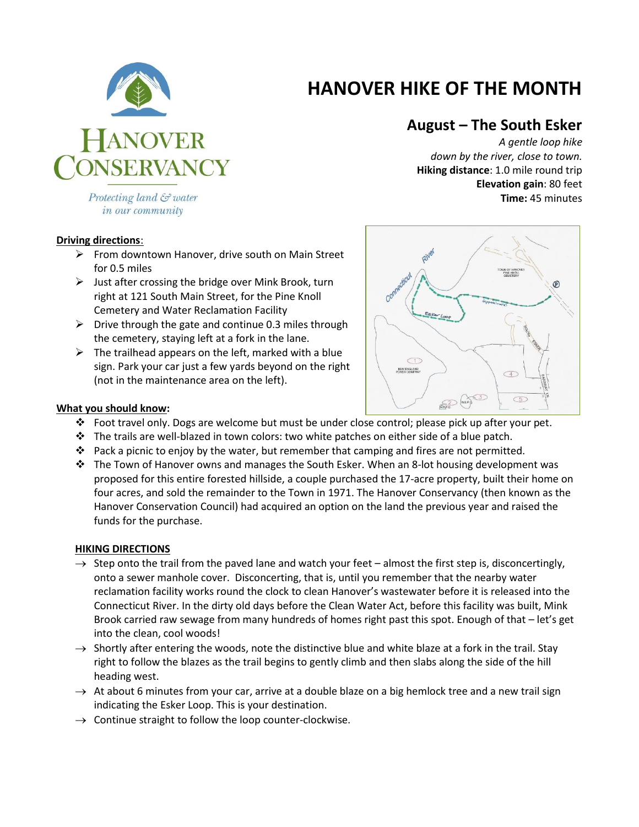

# **HANOVER HIKE OF THE MONTH**

## **August – The South Esker**

*A gentle loop hike down by the river, close to town.* **Hiking distance**: 1.0 mile round trip **Elevation gain**: 80 feet **Time:** 45 minutes

Protecting land & water in our community

### **Driving directions**:

- $\triangleright$  From downtown Hanover, drive south on Main Street for 0.5 miles
- $\triangleright$  Just after crossing the bridge over Mink Brook, turn right at 121 South Main Street, for the Pine Knoll Cemetery and Water Reclamation Facility
- $\triangleright$  Drive through the gate and continue 0.3 miles through the cemetery, staying left at a fork in the lane.
- $\triangleright$  The trailhead appears on the left, marked with a blue sign. Park your car just a few yards beyond on the right (not in the maintenance area on the left).



#### **What you should know:**

- Foot travel only. Dogs are welcome but must be under close control; please pick up after your pet.
- $\cdot \cdot$  The trails are well-blazed in town colors: two white patches on either side of a blue patch.
- $\cdot \cdot$  Pack a picnic to enjoy by the water, but remember that camping and fires are not permitted.
- $\cdot \cdot$  The Town of Hanover owns and manages the South Esker. When an 8-lot housing development was proposed for this entire forested hillside, a couple purchased the 17-acre property, built their home on four acres, and sold the remainder to the Town in 1971. The Hanover Conservancy (then known as the Hanover Conservation Council) had acquired an option on the land the previous year and raised the funds for the purchase.

### **HIKING DIRECTIONS**

- $\rightarrow$  Step onto the trail from the paved lane and watch your feet almost the first step is, disconcertingly, onto a sewer manhole cover. Disconcerting, that is, until you remember that the nearby water reclamation facility works round the clock to clean Hanover's wastewater before it is released into the Connecticut River. In the dirty old days before the Clean Water Act, before this facility was built, Mink Brook carried raw sewage from many hundreds of homes right past this spot. Enough of that – let's get into the clean, cool woods!
- $\rightarrow$  Shortly after entering the woods, note the distinctive blue and white blaze at a fork in the trail. Stay right to follow the blazes as the trail begins to gently climb and then slabs along the side of the hill heading west.
- $\rightarrow$  At about 6 minutes from your car, arrive at a double blaze on a big hemlock tree and a new trail sign indicating the Esker Loop. This is your destination.
- $\rightarrow$  Continue straight to follow the loop counter-clockwise.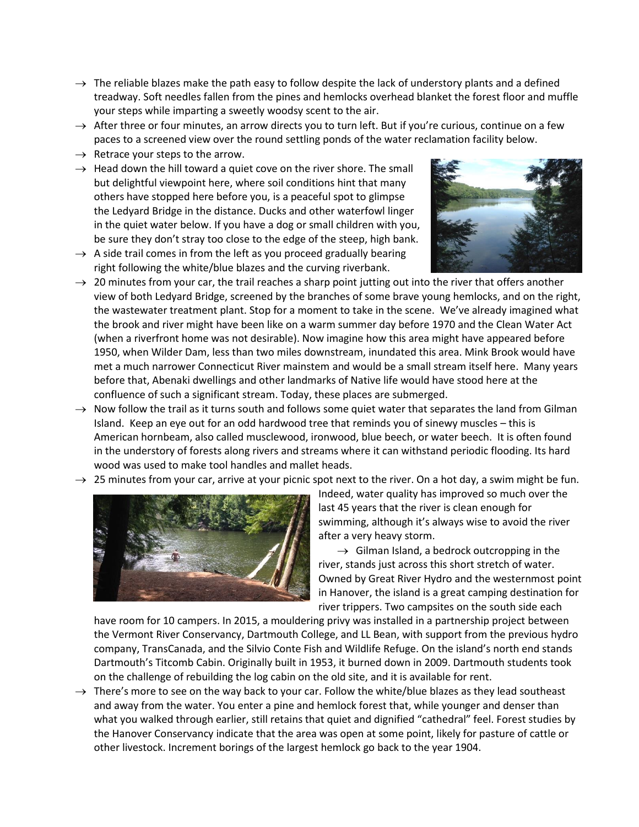- $\rightarrow$  The reliable blazes make the path easy to follow despite the lack of understory plants and a defined treadway. Soft needles fallen from the pines and hemlocks overhead blanket the forest floor and muffle your steps while imparting a sweetly woodsy scent to the air.
- $\rightarrow$  After three or four minutes, an arrow directs you to turn left. But if you're curious, continue on a few paces to a screened view over the round settling ponds of the water reclamation facility below.
- $\rightarrow$  Retrace your steps to the arrow.
- $\rightarrow$  Head down the hill toward a quiet cove on the river shore. The small but delightful viewpoint here, where soil conditions hint that many others have stopped here before you, is a peaceful spot to glimpse the Ledyard Bridge in the distance. Ducks and other waterfowl linger in the quiet water below. If you have a dog or small children with you, be sure they don't stray too close to the edge of the steep, high bank.
- $\rightarrow$  A side trail comes in from the left as you proceed gradually bearing right following the white/blue blazes and the curving riverbank.



- $\rightarrow$  20 minutes from your car, the trail reaches a sharp point jutting out into the river that offers another view of both Ledyard Bridge, screened by the branches of some brave young hemlocks, and on the right, the wastewater treatment plant. Stop for a moment to take in the scene. We've already imagined what the brook and river might have been like on a warm summer day before 1970 and the Clean Water Act (when a riverfront home was not desirable). Now imagine how this area might have appeared before 1950, when Wilder Dam, less than two miles downstream, inundated this area. Mink Brook would have met a much narrower Connecticut River mainstem and would be a small stream itself here. Many years before that, Abenaki dwellings and other landmarks of Native life would have stood here at the confluence of such a significant stream. Today, these places are submerged.
- $\rightarrow$  Now follow the trail as it turns south and follows some quiet water that separates the land from Gilman Island. Keep an eye out for an odd hardwood tree that reminds you of sinewy muscles – this is American hornbeam, also called musclewood, ironwood, blue beech, or water beech. It is often found in the understory of forests along rivers and streams where it can withstand periodic flooding. Its hard wood was used to make tool handles and mallet heads.
- $\rightarrow$  25 minutes from your car, arrive at your picnic spot next to the river. On a hot day, a swim might be fun.



Indeed, water quality has improved so much over the last 45 years that the river is clean enough for swimming, although it's always wise to avoid the river after a very heavy storm.

 $\rightarrow$  Gilman Island, a bedrock outcropping in the river, stands just across this short stretch of water. Owned by Great River Hydro and the westernmost point in Hanover, the island is a great camping destination for river trippers. Two campsites on the south side each

have room for 10 campers. In 2015, a mouldering privy was installed in a partnership project between the Vermont River Conservancy, Dartmouth College, and LL Bean, with support from the previous hydro company, TransCanada, and the Silvio Conte Fish and Wildlife Refuge. On the island's north end stands Dartmouth's Titcomb Cabin. Originally built in 1953, it burned down in 2009. Dartmouth students took on the challenge of rebuilding the log cabin on the old site, and it is available for rent.

 $\rightarrow$  There's more to see on the way back to your car. Follow the white/blue blazes as they lead southeast and away from the water. You enter a pine and hemlock forest that, while younger and denser than what you walked through earlier, still retains that quiet and dignified "cathedral" feel. Forest studies by the Hanover Conservancy indicate that the area was open at some point, likely for pasture of cattle or other livestock. Increment borings of the largest hemlock go back to the year 1904.